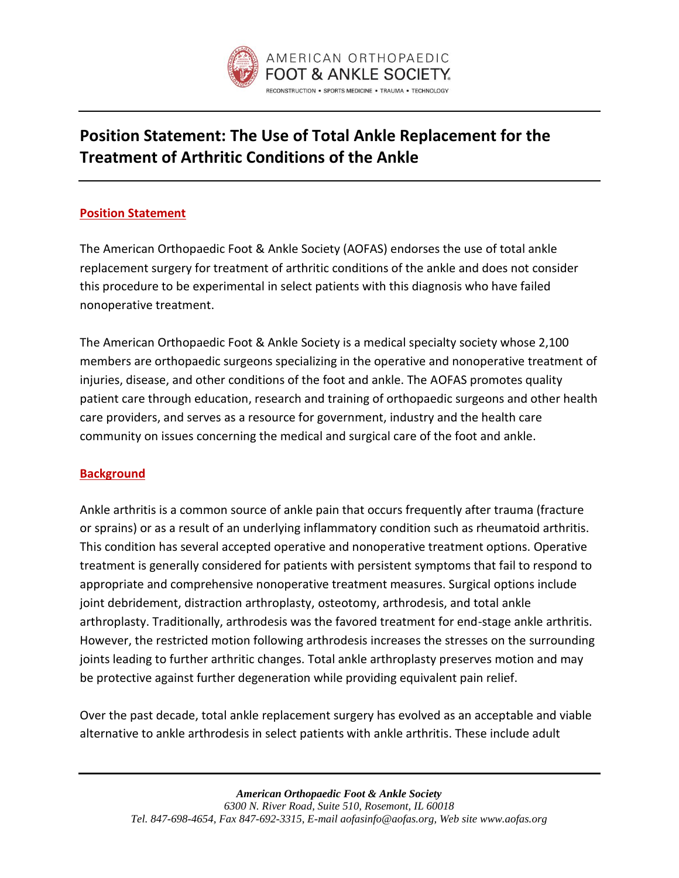

# **Position Statement: The Use of Total Ankle Replacement for the Treatment of Arthritic Conditions of the Ankle**

## **Position Statement**

The American Orthopaedic Foot & Ankle Society (AOFAS) endorses the use of total ankle replacement surgery for treatment of arthritic conditions of the ankle and does not consider this procedure to be experimental in select patients with this diagnosis who have failed nonoperative treatment.

The American Orthopaedic Foot & Ankle Society is a medical specialty society whose 2,100 members are orthopaedic surgeons specializing in the operative and nonoperative treatment of injuries, disease, and other conditions of the foot and ankle. The AOFAS promotes quality patient care through education, research and training of orthopaedic surgeons and other health care providers, and serves as a resource for government, industry and the health care community on issues concerning the medical and surgical care of the foot and ankle.

## **Background**

Ankle arthritis is a common source of ankle pain that occurs frequently after trauma (fracture or sprains) or as a result of an underlying inflammatory condition such as rheumatoid arthritis. This condition has several accepted operative and nonoperative treatment options. Operative treatment is generally considered for patients with persistent symptoms that fail to respond to appropriate and comprehensive nonoperative treatment measures. Surgical options include joint debridement, distraction arthroplasty, osteotomy, arthrodesis, and total ankle arthroplasty. Traditionally, arthrodesis was the favored treatment for end-stage ankle arthritis. However, the restricted motion following arthrodesis increases the stresses on the surrounding joints leading to further arthritic changes. Total ankle arthroplasty preserves motion and may be protective against further degeneration while providing equivalent pain relief.

Over the past decade, total ankle replacement surgery has evolved as an acceptable and viable alternative to ankle arthrodesis in select patients with ankle arthritis. These include adult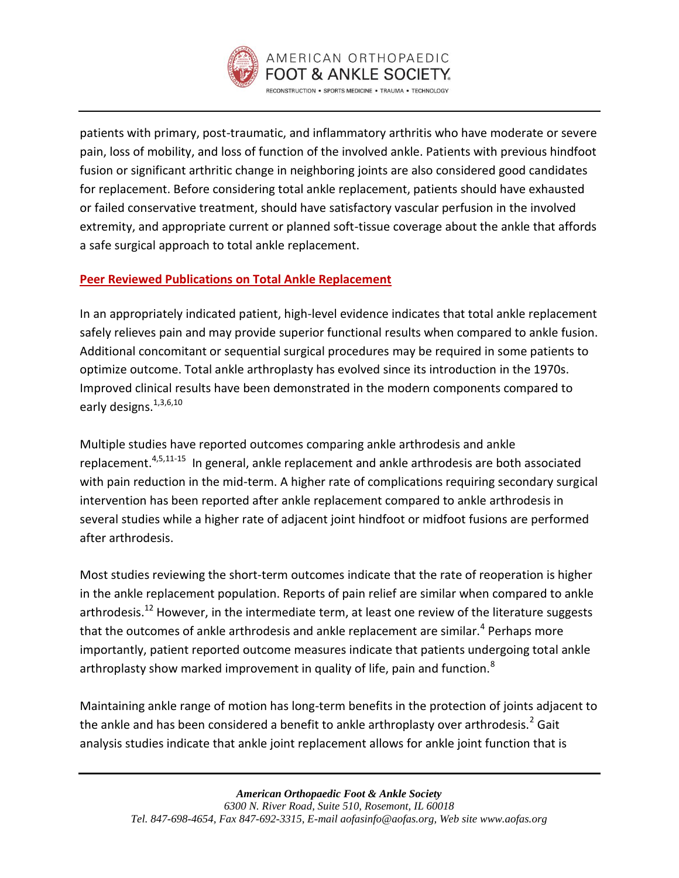

patients with primary, post-traumatic, and inflammatory arthritis who have moderate or severe pain, loss of mobility, and loss of function of the involved ankle. Patients with previous hindfoot fusion or significant arthritic change in neighboring joints are also considered good candidates for replacement. Before considering total ankle replacement, patients should have exhausted or failed conservative treatment, should have satisfactory vascular perfusion in the involved extremity, and appropriate current or planned soft-tissue coverage about the ankle that affords a safe surgical approach to total ankle replacement.

## **Peer Reviewed Publications on Total Ankle Replacement**

In an appropriately indicated patient, high-level evidence indicates that total ankle replacement safely relieves pain and may provide superior functional results when compared to ankle fusion. Additional concomitant or sequential surgical procedures may be required in some patients to optimize outcome. Total ankle arthroplasty has evolved since its introduction in the 1970s. Improved clinical results have been demonstrated in the modern components compared to early designs.<sup>[1](#page-2-0)[,3,](#page-3-0)[6,](#page-3-1)[10](#page-3-2)</sup>

Multiple studies have reported outcomes comparing ankle arthrodesis and ankle replacement.<sup>[4](#page-3-3)[,5](#page-3-4)[,11-15](#page-3-5)</sup> In general, ankle replacement and ankle arthrodesis are both associated with pain reduction in the mid-term. A higher rate of complications requiring secondary surgical intervention has been reported after ankle replacement compared to ankle arthrodesis in several studies while a higher rate of adjacent joint hindfoot or midfoot fusions are performed after arthrodesis.

Most studies reviewing the short-term outcomes indicate that the rate of reoperation is higher in the ankle replacement population. Reports of pain relief are similar when compared to ankle arthrodesis.<sup>[12](#page-3-6)</sup> However, in the intermediate term, at least one review of the literature suggests that the outcomes of ankle arthrodesis and ankle replacement are similar.<sup>[4](#page-3-3)</sup> Perhaps more importantly, patient reported outcome measures indicate that patients undergoing total ankle arthroplasty show marked improvement in quality of life, pain and function.<sup>[8](#page-3-7)</sup>

Maintaining ankle range of motion has long-term benefits in the protection of joints adjacent to the ankle and has been considered a benefit to ankle arthroplasty over arthrodesis.<sup>[2](#page-3-8)</sup> Gait analysis studies indicate that ankle joint replacement allows for ankle joint function that is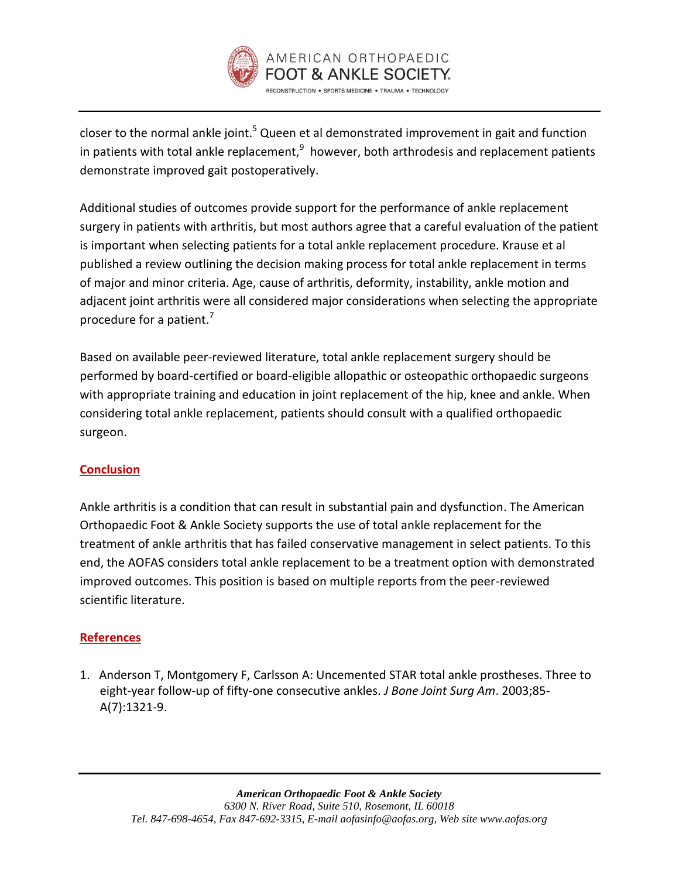

closer to the normal ankle joint[.](#page-3-4)<sup>5</sup> Queen et al demonstrated improvement in gait and function in patients with total ankle replacement, $^{9}$  $^{9}$  $^{9}$  however, both arthrodesis and replacement patients demonstrate improved gait postoperatively.

Additional studies of outcomes provide support for the performance of ankle replacement surgery in patients with arthritis, but most authors agree that a careful evaluation of the patient is important when selecting patients for a total ankle replacement procedure. Krause et al published a review outlining the decision making process for total ankle replacement in terms of major and minor criteria. Age, cause of arthritis, deformity, instability, ankle motion and adjacent joint arthritis were all considered major considerations when selecting the appropriate procedure for a patient.<sup>[7](#page-3-10)</sup>

Based on available peer-reviewed literature, total ankle replacement surgery should be performed by board-certified or board-eligible allopathic or osteopathic orthopaedic surgeons with appropriate training and education in joint replacement of the hip, knee and ankle. When considering total ankle replacement, patients should consult with a qualified orthopaedic surgeon.

## **Conclusion**

Ankle arthritis is a condition that can result in substantial pain and dysfunction. The American Orthopaedic Foot & Ankle Society supports the use of total ankle replacement for the treatment of ankle arthritis that has failed conservative management in select patients. To this end, the AOFAS considers total ankle replacement to be a treatment option with demonstrated improved outcomes. This position is based on multiple reports from the peer-reviewed scientific literature.

## **References**

<span id="page-2-0"></span>1. Anderson T, Montgomery F, Carlsson A: Uncemented STAR total ankle prostheses. Three to eight-year follow-up of fifty-one consecutive ankles. *J Bone Joint Surg Am*. 2003;85- A(7):1321-9.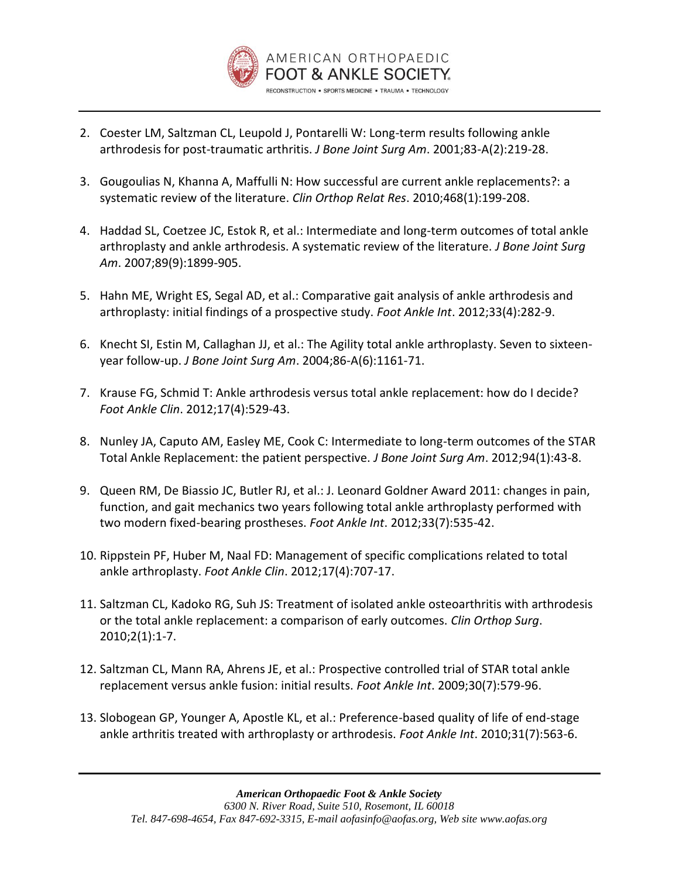

- <span id="page-3-8"></span>2. Coester LM, Saltzman CL, Leupold J, Pontarelli W: Long-term results following ankle arthrodesis for post-traumatic arthritis. *J Bone Joint Surg Am*. 2001;83-A(2):219-28.
- <span id="page-3-0"></span>3. Gougoulias N, Khanna A, Maffulli N: How successful are current ankle replacements?: a systematic review of the literature. *Clin Orthop Relat Res*. 2010;468(1):199-208.
- <span id="page-3-3"></span>4. Haddad SL, Coetzee JC, Estok R, et al.: Intermediate and long-term outcomes of total ankle arthroplasty and ankle arthrodesis. A systematic review of the literature. *J Bone Joint Surg Am*. 2007;89(9):1899-905.
- <span id="page-3-4"></span>5. Hahn ME, Wright ES, Segal AD, et al.: Comparative gait analysis of ankle arthrodesis and arthroplasty: initial findings of a prospective study. *Foot Ankle Int*. 2012;33(4):282-9.
- <span id="page-3-1"></span>6. Knecht SI, Estin M, Callaghan JJ, et al.: The Agility total ankle arthroplasty. Seven to sixteenyear follow-up. *J Bone Joint Surg Am*. 2004;86-A(6):1161-71.
- <span id="page-3-10"></span>7. Krause FG, Schmid T: Ankle arthrodesis versus total ankle replacement: how do I decide? *Foot Ankle Clin*. 2012;17(4):529-43.
- <span id="page-3-7"></span>8. Nunley JA, Caputo AM, Easley ME, Cook C: Intermediate to long-term outcomes of the STAR Total Ankle Replacement: the patient perspective. *J Bone Joint Surg Am*. 2012;94(1):43-8.
- <span id="page-3-9"></span>9. Queen RM, De Biassio JC, Butler RJ, et al.: J. Leonard Goldner Award 2011: changes in pain, function, and gait mechanics two years following total ankle arthroplasty performed with two modern fixed-bearing prostheses. *Foot Ankle Int*. 2012;33(7):535-42.
- <span id="page-3-2"></span>10. Rippstein PF, Huber M, Naal FD: Management of specific complications related to total ankle arthroplasty. *Foot Ankle Clin*. 2012;17(4):707-17.
- <span id="page-3-5"></span>11. Saltzman CL, Kadoko RG, Suh JS: Treatment of isolated ankle osteoarthritis with arthrodesis or the total ankle replacement: a comparison of early outcomes. *Clin Orthop Surg*. 2010;2(1):1-7.
- <span id="page-3-6"></span>12. Saltzman CL, Mann RA, Ahrens JE, et al.: Prospective controlled trial of STAR total ankle replacement versus ankle fusion: initial results. *Foot Ankle Int*. 2009;30(7):579-96.
- 13. Slobogean GP, Younger A, Apostle KL, et al.: Preference-based quality of life of end-stage ankle arthritis treated with arthroplasty or arthrodesis. *Foot Ankle Int*. 2010;31(7):563-6.